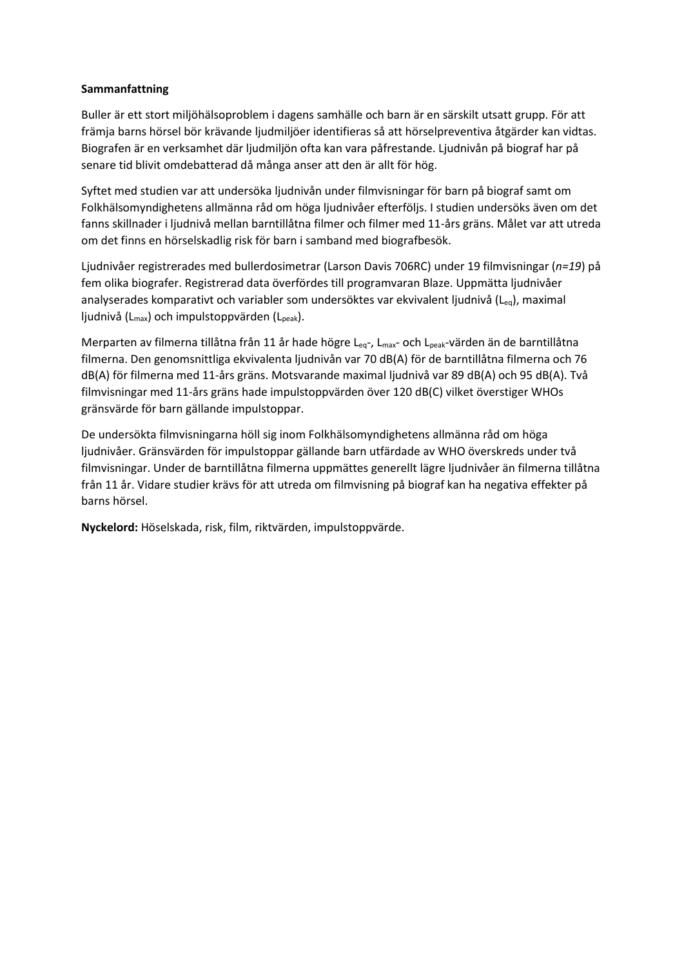## **Sammanfattning**

Buller är ett stort miljöhälsoproblem i dagens samhälle och barn är en särskilt utsatt grupp. För att främja barns hörsel bör krävande ljudmiljöer identifieras så att hörselpreventiva åtgärder kan vidtas. Biografen är en verksamhet där ljudmiljön ofta kan vara påfrestande. Ljudnivån på biograf har på senare tid blivit omdebatterad då många anser att den är allt för hög.

Syftet med studien var att undersöka ljudnivån under filmvisningar för barn på biograf samt om Folkhälsomyndighetens allmänna råd om höga ljudnivåer efterföljs. I studien undersöks även om det fanns skillnader i ljudnivå mellan barntillåtna filmer och filmer med 11-års gräns. Målet var att utreda om det finns en hörselskadlig risk för barn i samband med biografbesök.

Ljudnivåer registrerades med bullerdosimetrar (Larson Davis 706RC) under 19 filmvisningar (*n=19*) på fem olika biografer. Registrerad data överfördes till programvaran Blaze. Uppmätta ljudnivåer analyserades komparativt och variabler som undersöktes var ekvivalent ljudnivå (L<sub>eq</sub>), maximal ljudnivå (L<sub>max</sub>) och impulstoppvärden (L<sub>peak</sub>).

Merparten av filmerna tillåtna från 11 år hade högre Leq-, L<sub>max</sub>- och L<sub>peak</sub>-värden än de barntillåtna filmerna. Den genomsnittliga ekvivalenta ljudnivån var 70 dB(A) för de barntillåtna filmerna och 76 dB(A) för filmerna med 11-års gräns. Motsvarande maximal ljudnivå var 89 dB(A) och 95 dB(A). Två filmvisningar med 11-års gräns hade impulstoppvärden över 120 dB(C) vilket överstiger WHOs gränsvärde för barn gällande impulstoppar.

De undersökta filmvisningarna höll sig inom Folkhälsomyndighetens allmänna råd om höga ljudnivåer. Gränsvärden för impulstoppar gällande barn utfärdade av WHO överskreds under två filmvisningar. Under de barntillåtna filmerna uppmättes generellt lägre ljudnivåer än filmerna tillåtna från 11 år. Vidare studier krävs för att utreda om filmvisning på biograf kan ha negativa effekter på barns hörsel.

**Nyckelord:** Höselskada, risk, film, riktvärden, impulstoppvärde.